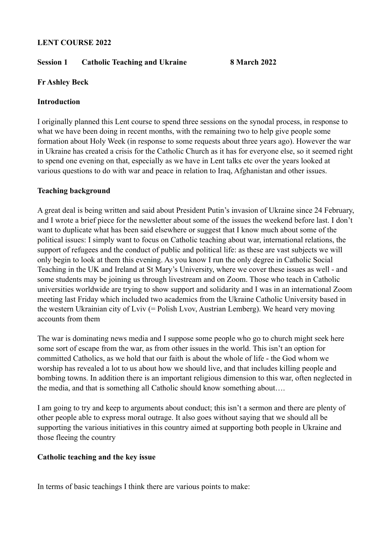#### **LENT COURSE 2022**

#### **Session 1 Catholic Teaching and Ukraine 8 March 2022**

# **Fr Ashley Beck**

## **Introduction**

I originally planned this Lent course to spend three sessions on the synodal process, in response to what we have been doing in recent months, with the remaining two to help give people some formation about Holy Week (in response to some requests about three years ago). However the war in Ukraine has created a crisis for the Catholic Church as it has for everyone else, so it seemed right to spend one evening on that, especially as we have in Lent talks etc over the years looked at various questions to do with war and peace in relation to Iraq, Afghanistan and other issues.

## **Teaching background**

A great deal is being written and said about President Putin's invasion of Ukraine since 24 February, and I wrote a brief piece for the newsletter about some of the issues the weekend before last. I don't want to duplicate what has been said elsewhere or suggest that I know much about some of the political issues: I simply want to focus on Catholic teaching about war, international relations, the support of refugees and the conduct of public and political life: as these are vast subjects we will only begin to look at them this evening. As you know I run the only degree in Catholic Social Teaching in the UK and Ireland at St Mary's University, where we cover these issues as well - and some students may be joining us through livestream and on Zoom. Those who teach in Catholic universities worldwide are trying to show support and solidarity and I was in an international Zoom meeting last Friday which included two academics from the Ukraine Catholic University based in the western Ukrainian city of Lviv (= Polish Lvov, Austrian Lemberg). We heard very moving accounts from them

The war is dominating news media and I suppose some people who go to church might seek here some sort of escape from the war, as from other issues in the world. This isn't an option for committed Catholics, as we hold that our faith is about the whole of life - the God whom we worship has revealed a lot to us about how we should live, and that includes killing people and bombing towns. In addition there is an important religious dimension to this war, often neglected in the media, and that is something all Catholic should know something about….

I am going to try and keep to arguments about conduct; this isn't a sermon and there are plenty of other people able to express moral outrage. It also goes without saying that we should all be supporting the various initiatives in this country aimed at supporting both people in Ukraine and those fleeing the country

## **Catholic teaching and the key issue**

In terms of basic teachings I think there are various points to make: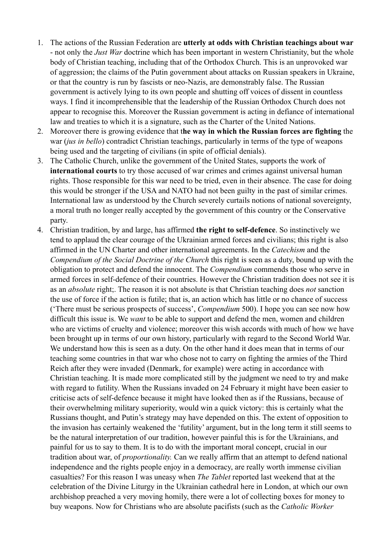- 1. The actions of the Russian Federation are **utterly at odds with Christian teachings about war**  - not only the *Just War* doctrine which has been important in western Christianity, but the whole body of Christian teaching, including that of the Orthodox Church. This is an unprovoked war of aggression; the claims of the Putin government about attacks on Russian speakers in Ukraine, or that the country is run by fascists or neo-Nazis, are demonstrably false. The Russian government is actively lying to its own people and shutting off voices of dissent in countless ways. I find it incomprehensible that the leadership of the Russian Orthodox Church does not appear to recognise this. Moreover the Russian government is acting in defiance of international law and treaties to which it is a signature, such as the Charter of the United Nations.
- 2. Moreover there is growing evidence that t**he way in which the Russian forces are fighting** the war (*jus in bello*) contradict Christian teachings, particularly in terms of the type of weapons being used and the targeting of civilians (in spite of official denials).
- 3. The Catholic Church, unlike the government of the United States, supports the work of **international courts** to try those accused of war crimes and crimes against universal human rights. Those responsible for this war need to be tried, even in their absence. The case for doing this would be stronger if the USA and NATO had not been guilty in the past of similar crimes. International law as understood by the Church severely curtails notions of national sovereignty, a moral truth no longer really accepted by the government of this country or the Conservative party.
- 4. Christian tradition, by and large, has affirmed **the right to self-defence**. So instinctively we tend to applaud the clear courage of the Ukrainian armed forces and civilians; this right is also affirmed in the UN Charter and other international agreements. In the *Catechism* and the *Compendium of the Social Doctrine of the Church* this right is seen as a duty, bound up with the obligation to protect and defend the innocent. The *Compendium* commends those who serve in armed forces in self-defence of their countries. However the Christian tradition does not see it is as an *absolute* right;. The reason it is not absolute is that Christian teaching does *not* sanction the use of force if the action is futile; that is, an action which has little or no chance of success ('There must be serious prospects of success', *Compendium* 500). I hope you can see now how difficult this issue is. We *want* to be able to support and defend the men, women and children who are victims of cruelty and violence; moreover this wish accords with much of how we have been brought up in terms of our own history, particularly with regard to the Second World War. We understand how this is seen as a duty. On the other hand it does mean that in terms of our teaching some countries in that war who chose not to carry on fighting the armies of the Third Reich after they were invaded (Denmark, for example) were acting in accordance with Christian teaching. It is made more complicated still by the judgment we need to try and make with regard to futility. When the Russians invaded on 24 February it might have been easier to criticise acts of self-defence because it might have looked then as if the Russians, because of their overwhelming military superiority, would win a quick victory: this is certainly what the Russians thought, and Putin's strategy may have depended on this. The extent of opposition to the invasion has certainly weakened the 'futility' argument, but in the long term it still seems to be the natural interpretation of our tradition, however painful this is for the Ukrainians, and painful for us to say to them. It is to do with the important moral concept, crucial in our tradition about war, of *proportionality.* Can we really affirm that an attempt to defend national independence and the rights people enjoy in a democracy, are really worth immense civilian casualties? For this reason I was uneasy when *The Tablet* reported last weekend that at the celebration of the Divine Liturgy in the Ukrainian cathedral here in London, at which our own archbishop preached a very moving homily, there were a lot of collecting boxes for money to buy weapons. Now for Christians who are absolute pacifists (such as the *Catholic Worker*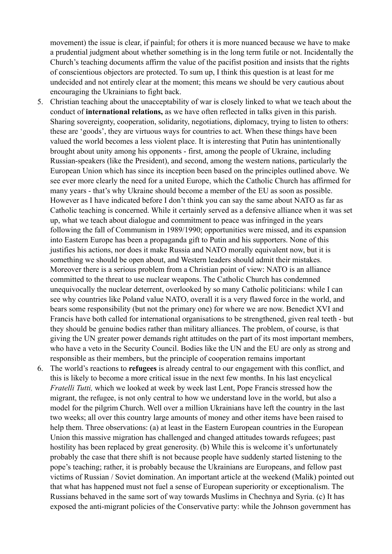movement) the issue is clear, if painful; for others it is more nuanced because we have to make a prudential judgment about whether something is in the long term futile or not. Incidentally the Church's teaching documents affirm the value of the pacifist position and insists that the rights of conscientious objectors are protected. To sum up, I think this question is at least for me undecided and not entirely clear at the moment; this means we should be very cautious about encouraging the Ukrainians to fight back.

- 5. Christian teaching about the unacceptability of war is closely linked to what we teach about the conduct of **international relations,** as we have often reflected in talks given in this parish. Sharing sovereignty, cooperation, solidarity, negotiations, diplomacy, trying to listen to others: these are 'goods', they are virtuous ways for countries to act. When these things have been valued the world becomes a less violent place. It is interesting that Putin has unintentionally brought about unity among his opponents - first, among the people of Ukraine, including Russian-speakers (like the President), and second, among the western nations, particularly the European Union which has since its inception been based on the principles outlined above. We see ever more clearly the need for a united Europe, which the Catholic Church has affirmed for many years - that's why Ukraine should become a member of the EU as soon as possible. However as I have indicated before I don't think you can say the same about NATO as far as Catholic teaching is concerned. While it certainly served as a defensive alliance when it was set up, what we teach about dialogue and commitment to peace was infringed in the years following the fall of Communism in 1989/1990; opportunities were missed, and its expansion into Eastern Europe has been a propaganda gift to Putin and his supporters. None of this justifies his actions, nor does it make Russia and NATO morally equivalent now, but it is something we should be open about, and Western leaders should admit their mistakes. Moreover there is a serious problem from a Christian point of view: NATO is an alliance committed to the threat to use nuclear weapons. The Catholic Church has condemned unequivocally the nuclear deterrent, overlooked by so many Catholic politicians: while I can see why countries like Poland value NATO, overall it is a very flawed force in the world, and bears some responsibility (but not the primary one) for where we are now. Benedict XVI and Francis have both called for international organisations to be strengthened, given real teeth - but they should be genuine bodies rather than military alliances. The problem, of course, is that giving the UN greater power demands right attitudes on the part of its most important members, who have a veto in the Security Council. Bodies like the UN and the EU are only as strong and responsible as their members, but the principle of cooperation remains important
- 6. The world's reactions to **refugees** is already central to our engagement with this conflict, and this is likely to become a more critical issue in the next few months. In his last encyclical *Fratelli Tutti,* which we looked at week by week last Lent, Pope Francis stressed how the migrant, the refugee, is not only central to how we understand love in the world, but also a model for the pilgrim Church. Well over a million Ukrainians have left the country in the last two weeks; all over this country large amounts of money and other items have been raised to help them. Three observations: (a) at least in the Eastern European countries in the European Union this massive migration has challenged and changed attitudes towards refugees; past hostility has been replaced by great generosity. (b) While this is welcome it's unfortunately probably the case that there shift is not because people have suddenly started listening to the pope's teaching; rather, it is probably because the Ukrainians are Europeans, and fellow past victims of Russian / Soviet domination. An important article at the weekend (Malik) pointed out that what has happened must not fuel a sense of European superiority or exceptionalism. The Russians behaved in the same sort of way towards Muslims in Chechnya and Syria. (c) It has exposed the anti-migrant policies of the Conservative party: while the Johnson government has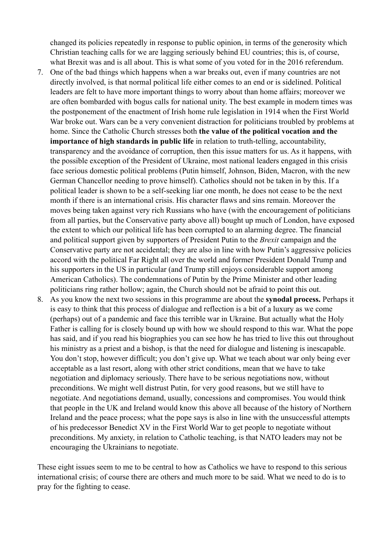changed its policies repeatedly in response to public opinion, in terms of the generosity which Christian teaching calls for we are lagging seriously behind EU countries; this is, of course, what Brexit was and is all about. This is what some of you voted for in the 2016 referendum.

- 7. One of the bad things which happens when a war breaks out, even if many countries are not directly involved, is that normal political life either comes to an end or is sidelined. Political leaders are felt to have more important things to worry about than home affairs; moreover we are often bombarded with bogus calls for national unity. The best example in modern times was the postponement of the enactment of Irish home rule legislation in 1914 when the First World War broke out. Wars can be a very convenient distraction for politicians troubled by problems at home. Since the Catholic Church stresses both **the value of the political vocation and the importance of high standards in public life** in relation to truth-telling, accountability, transparency and the avoidance of corruption, then this issue matters for us. As it happens, with the possible exception of the President of Ukraine, most national leaders engaged in this crisis face serious domestic political problems (Putin himself, Johnson, Biden, Macron, with the new German Chancellor needing to prove himself). Catholics should not be taken in by this. If a political leader is shown to be a self-seeking liar one month, he does not cease to be the next month if there is an international crisis. His character flaws and sins remain. Moreover the moves being taken against very rich Russians who have (with the encouragement of politicians from all parties, but the Conservative party above all) bought up much of London, have exposed the extent to which our political life has been corrupted to an alarming degree. The financial and political support given by supporters of President Putin to the *Brexit* campaign and the Conservative party are not accidental; they are also in line with how Putin's aggressive policies accord with the political Far Right all over the world and former President Donald Trump and his supporters in the US in particular (and Trump still enjoys considerable support among American Catholics). The condemnations of Putin by the Prime Minister and other leading politicians ring rather hollow; again, the Church should not be afraid to point this out.
- 8. As you know the next two sessions in this programme are about the **synodal process.** Perhaps it is easy to think that this process of dialogue and reflection is a bit of a luxury as we come (perhaps) out of a pandemic and face this terrible war in Ukraine. But actually what the Holy Father is calling for is closely bound up with how we should respond to this war. What the pope has said, and if you read his biographies you can see how he has tried to live this out throughout his ministry as a priest and a bishop, is that the need for dialogue and listening is inescapable. You don't stop, however difficult; you don't give up. What we teach about war only being ever acceptable as a last resort, along with other strict conditions, mean that we have to take negotiation and diplomacy seriously. There have to be serious negotiations now, without preconditions. We might well distrust Putin, for very good reasons, but we still have to negotiate. And negotiations demand, usually, concessions and compromises. You would think that people in the UK and Ireland would know this above all because of the history of Northern Ireland and the peace process; what the pope says is also in line with the unsuccessful attempts of his predecessor Benedict XV in the First World War to get people to negotiate without preconditions. My anxiety, in relation to Catholic teaching, is that NATO leaders may not be encouraging the Ukrainians to negotiate.

These eight issues seem to me to be central to how as Catholics we have to respond to this serious international crisis; of course there are others and much more to be said. What we need to do is to pray for the fighting to cease.